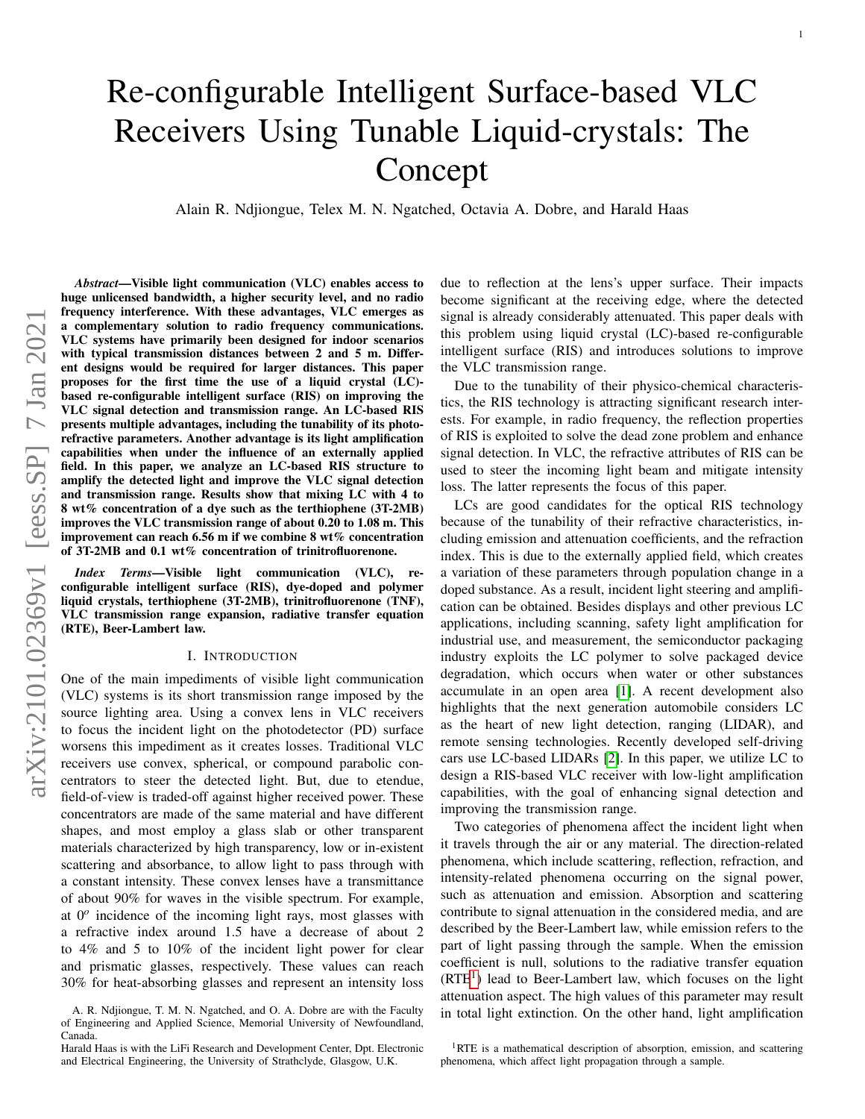# Re-configurable Intelligent Surface-based VLC Receivers Using Tunable Liquid-crystals: The Concept

Alain R. Ndjiongue, Telex M. N. Ngatched, Octavia A. Dobre, and Harald Haas

*Abstract*—Visible light communication (VLC) enables access to huge unlicensed bandwidth, a higher security level, and no radio frequency interference. With these advantages, VLC emerges as a complementary solution to radio frequency communications. VLC systems have primarily been designed for indoor scenarios with typical transmission distances between 2 and 5 m. Different designs would be required for larger distances. This paper proposes for the first time the use of a liquid crystal (LC) based re-configurable intelligent surface (RIS) on improving the VLC signal detection and transmission range. An LC-based RIS presents multiple advantages, including the tunability of its photorefractive parameters. Another advantage is its light amplification capabilities when under the influence of an externally applied field. In this paper, we analyze an LC-based RIS structure to amplify the detected light and improve the VLC signal detection and transmission range. Results show that mixing LC with 4 to 8 wt% concentration of a dye such as the terthiophene (3T-2MB) improves the VLC transmission range of about 0.20 to 1.08 m. This improvement can reach 6.56 m if we combine 8 wt% concentration of 3T-2MB and 0.1 wt% concentration of trinitrofluorenone.

*Index Terms*—Visible light communication (VLC), reconfigurable intelligent surface (RIS), dye-doped and polymer liquid crystals, terthiophene (3T-2MB), trinitrofluorenone (TNF), VLC transmission range expansion, radiative transfer equation (RTE), Beer-Lambert law.

#### I. INTRODUCTION

One of the main impediments of visible light communication (VLC) systems is its short transmission range imposed by the source lighting area. Using a convex lens in VLC receivers to focus the incident light on the photodetector (PD) surface worsens this impediment as it creates losses. Traditional VLC receivers use convex, spherical, or compound parabolic concentrators to steer the detected light. But, due to etendue, field-of-view is traded-off against higher received power. These concentrators are made of the same material and have different shapes, and most employ a glass slab or other transparent materials characterized by high transparency, low or in-existent scattering and absorbance, to allow light to pass through with a constant intensity. These convex lenses have a transmittance of about 90% for waves in the visible spectrum. For example, at 0*<sup>o</sup>* incidence of the incoming light rays, most glasses with a refractive index around 1.5 have a decrease of about 2 to 4% and 5 to 10% of the incident light power for clear and prismatic glasses, respectively. These values can reach 30% for heat-absorbing glasses and represent an intensity loss

due to reflection at the lens's upper surface. Their impacts become significant at the receiving edge, where the detected signal is already considerably attenuated. This paper deals with this problem using liquid crystal (LC)-based re-configurable intelligent surface (RIS) and introduces solutions to improve the VLC transmission range.

Due to the tunability of their physico-chemical characteristics, the RIS technology is attracting significant research interests. For example, in radio frequency, the reflection properties of RIS is exploited to solve the dead zone problem and enhance signal detection. In VLC, the refractive attributes of RIS can be used to steer the incoming light beam and mitigate intensity loss. The latter represents the focus of this paper.

LCs are good candidates for the optical RIS technology because of the tunability of their refractive characteristics, including emission and attenuation coefficients, and the refraction index. This is due to the externally applied field, which creates a variation of these parameters through population change in a doped substance. As a result, incident light steering and amplification can be obtained. Besides displays and other previous LC applications, including scanning, safety light amplification for industrial use, and measurement, the semiconductor packaging industry exploits the LC polymer to solve packaged device degradation, which occurs when water or other substances accumulate in an open area [\[1\]](#page-6-0). A recent development also highlights that the next generation automobile considers LC as the heart of new light detection, ranging (LIDAR), and remote sensing technologies. Recently developed self-driving cars use LC-based LIDARs [\[2\]](#page-6-1). In this paper, we utilize LC to design a RIS-based VLC receiver with low-light amplification capabilities, with the goal of enhancing signal detection and improving the transmission range.

Two categories of phenomena affect the incident light when it travels through the air or any material. The direction-related phenomena, which include scattering, reflection, refraction, and intensity-related phenomena occurring on the signal power, such as attenuation and emission. Absorption and scattering contribute to signal attenuation in the considered media, and are described by the Beer-Lambert law, while emission refers to the part of light passing through the sample. When the emission coefficient is null, solutions to the radiative transfer equation  $(RTE<sup>1</sup>)$  $(RTE<sup>1</sup>)$  $(RTE<sup>1</sup>)$  lead to Beer-Lambert law, which focuses on the light attenuation aspect. The high values of this parameter may result in total light extinction. On the other hand, light amplification

A. R. Ndjiongue, T. M. N. Ngatched, and O. A. Dobre are with the Faculty of Engineering and Applied Science, Memorial University of Newfoundland, Canada.

Harald Haas is with the LiFi Research and Development Center, Dpt. Electronic and Electrical Engineering, the University of Strathclyde, Glasgow, U.K.

<span id="page-0-0"></span><sup>&</sup>lt;sup>1</sup>RTE is a mathematical description of absorption, emission, and scattering phenomena, which affect light propagation through a sample.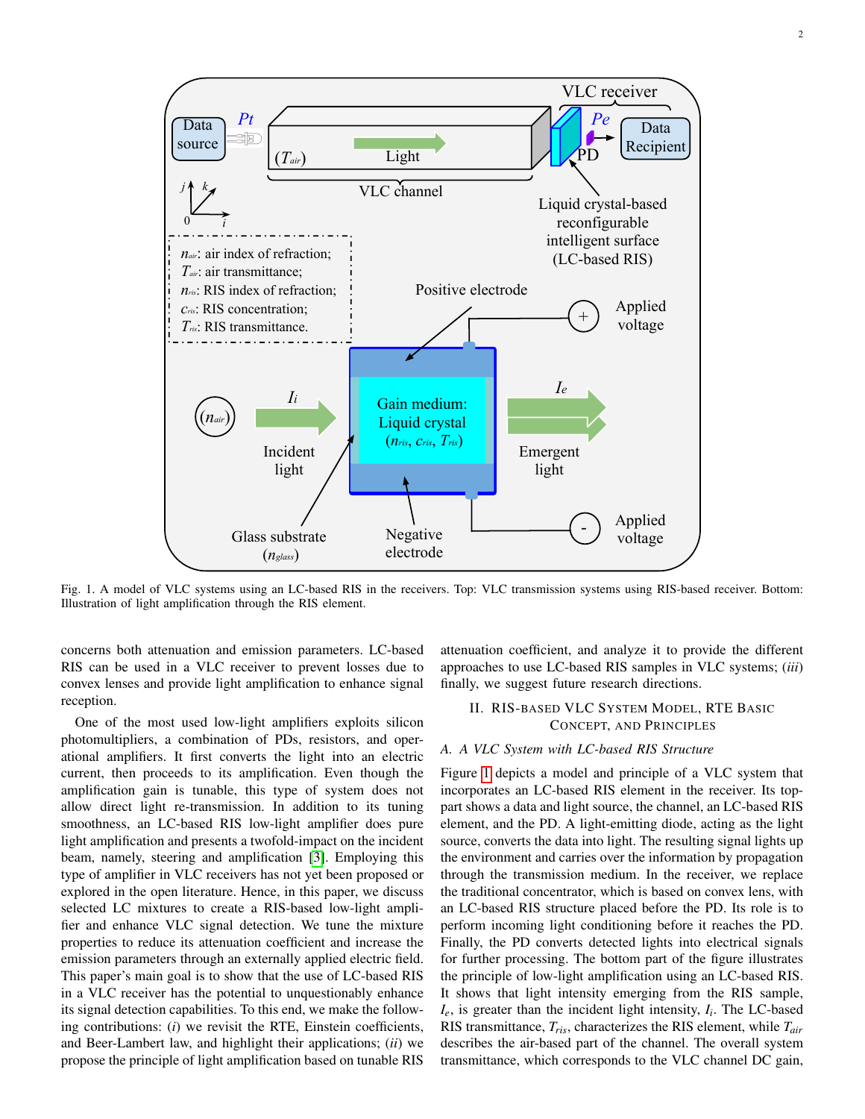<span id="page-1-0"></span>

Fig. 1. A model of VLC systems using an LC-based RIS in the receivers. Top: VLC transmission systems using RIS-based receiver. Bottom: Illustration of light amplification through the RIS element.

concerns both attenuation and emission parameters. LC-based RIS can be used in a VLC receiver to prevent losses due to convex lenses and provide light amplification to enhance signal reception.

One of the most used low-light amplifiers exploits silicon photomultipliers, a combination of PDs, resistors, and operational amplifiers. It first converts the light into an electric current, then proceeds to its amplification. Even though the amplification gain is tunable, this type of system does not allow direct light re-transmission. In addition to its tuning smoothness, an LC-based RIS low-light amplifier does pure light amplification and presents a twofold-impact on the incident beam, namely, steering and amplification [\[3\]](#page-6-2). Employing this type of amplifier in VLC receivers has not yet been proposed or explored in the open literature. Hence, in this paper, we discuss selected LC mixtures to create a RIS-based low-light amplifier and enhance VLC signal detection. We tune the mixture properties to reduce its attenuation coefficient and increase the emission parameters through an externally applied electric field. This paper's main goal is to show that the use of LC-based RIS in a VLC receiver has the potential to unquestionably enhance its signal detection capabilities. To this end, we make the following contributions: (*i*) we revisit the RTE, Einstein coefficients, and Beer-Lambert law, and highlight their applications; (*ii*) we propose the principle of light amplification based on tunable RIS

attenuation coefficient, and analyze it to provide the different approaches to use LC-based RIS samples in VLC systems; (*iii*) finally, we suggest future research directions.

# II. RIS-BASED VLC SYSTEM MODEL, RTE BASIC CONCEPT, AND PRINCIPLES

#### *A. A VLC System with LC-based RIS Structure*

Figure [1](#page-1-0) depicts a model and principle of a VLC system that incorporates an LC-based RIS element in the receiver. Its toppart shows a data and light source, the channel, an LC-based RIS element, and the PD. A light-emitting diode, acting as the light source, converts the data into light. The resulting signal lights up the environment and carries over the information by propagation through the transmission medium. In the receiver, we replace the traditional concentrator, which is based on convex lens, with an LC-based RIS structure placed before the PD. Its role is to perform incoming light conditioning before it reaches the PD. Finally, the PD converts detected lights into electrical signals for further processing. The bottom part of the figure illustrates the principle of low-light amplification using an LC-based RIS. It shows that light intensity emerging from the RIS sample, *Ie*, is greater than the incident light intensity, *I<sup>i</sup>* . The LC-based RIS transmittance, *Tris*, characterizes the RIS element, while *Tair* describes the air-based part of the channel. The overall system transmittance, which corresponds to the VLC channel DC gain,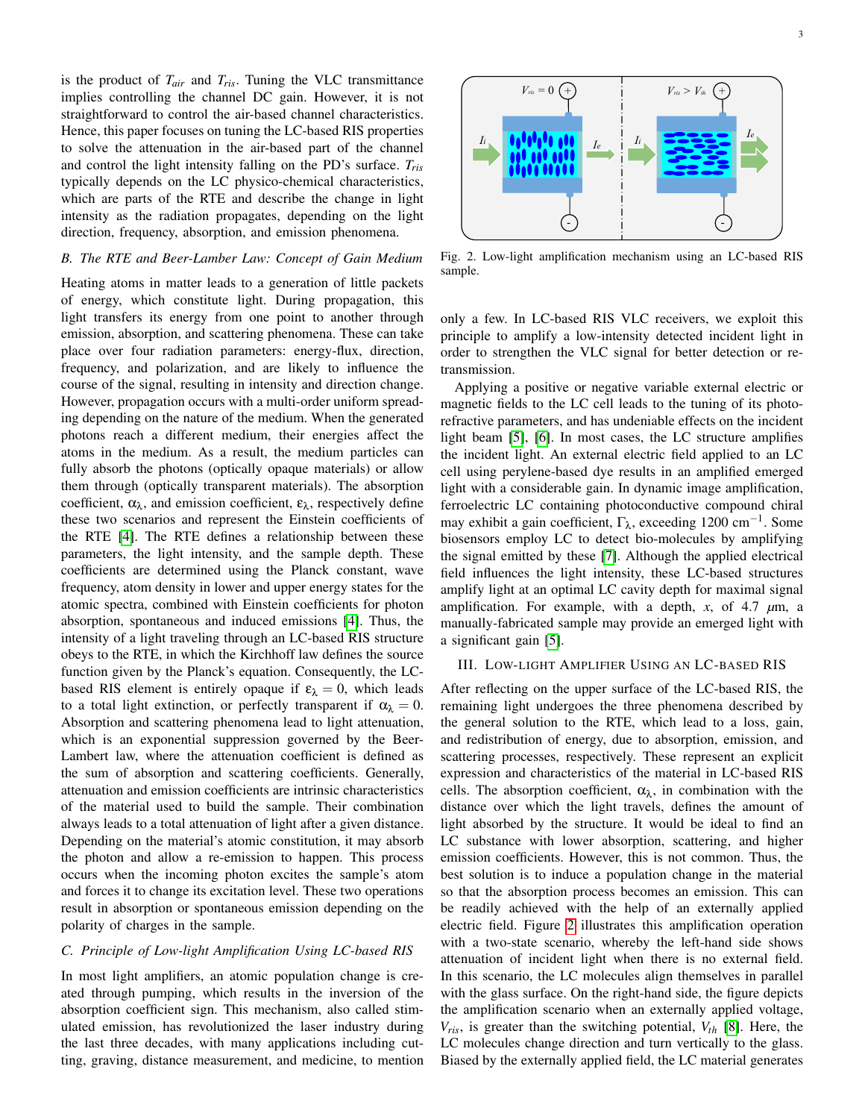is the product of *Tair* and *Tris*. Tuning the VLC transmittance implies controlling the channel DC gain. However, it is not straightforward to control the air-based channel characteristics. Hence, this paper focuses on tuning the LC-based RIS properties to solve the attenuation in the air-based part of the channel and control the light intensity falling on the PD's surface. *Tris* typically depends on the LC physico-chemical characteristics, which are parts of the RTE and describe the change in light intensity as the radiation propagates, depending on the light direction, frequency, absorption, and emission phenomena.

# *B. The RTE and Beer-Lamber Law: Concept of Gain Medium*

Heating atoms in matter leads to a generation of little packets of energy, which constitute light. During propagation, this light transfers its energy from one point to another through emission, absorption, and scattering phenomena. These can take place over four radiation parameters: energy-flux, direction, frequency, and polarization, and are likely to influence the course of the signal, resulting in intensity and direction change. However, propagation occurs with a multi-order uniform spreading depending on the nature of the medium. When the generated photons reach a different medium, their energies affect the atoms in the medium. As a result, the medium particles can fully absorb the photons (optically opaque materials) or allow them through (optically transparent materials). The absorption coefficient,  $\alpha_{\lambda}$ , and emission coefficient,  $\varepsilon_{\lambda}$ , respectively define these two scenarios and represent the Einstein coefficients of the RTE [\[4\]](#page-6-3). The RTE defines a relationship between these parameters, the light intensity, and the sample depth. These coefficients are determined using the Planck constant, wave frequency, atom density in lower and upper energy states for the atomic spectra, combined with Einstein coefficients for photon absorption, spontaneous and induced emissions [\[4\]](#page-6-3). Thus, the intensity of a light traveling through an LC-based RIS structure obeys to the RTE, in which the Kirchhoff law defines the source function given by the Planck's equation. Consequently, the LCbased RIS element is entirely opaque if  $\varepsilon_{\lambda} = 0$ , which leads to a total light extinction, or perfectly transparent if  $\alpha_{\lambda} = 0$ . Absorption and scattering phenomena lead to light attenuation, which is an exponential suppression governed by the Beer-Lambert law, where the attenuation coefficient is defined as the sum of absorption and scattering coefficients. Generally, attenuation and emission coefficients are intrinsic characteristics of the material used to build the sample. Their combination always leads to a total attenuation of light after a given distance. Depending on the material's atomic constitution, it may absorb the photon and allow a re-emission to happen. This process occurs when the incoming photon excites the sample's atom and forces it to change its excitation level. These two operations result in absorption or spontaneous emission depending on the polarity of charges in the sample.

## *C. Principle of Low-light Amplification Using LC-based RIS*

In most light amplifiers, an atomic population change is created through pumping, which results in the inversion of the absorption coefficient sign. This mechanism, also called stimulated emission, has revolutionized the laser industry during the last three decades, with many applications including cutting, graving, distance measurement, and medicine, to mention

<span id="page-2-0"></span>

Fig. 2. Low-light amplification mechanism using an LC-based RIS sample.

only a few. In LC-based RIS VLC receivers, we exploit this principle to amplify a low-intensity detected incident light in order to strengthen the VLC signal for better detection or retransmission.

Applying a positive or negative variable external electric or magnetic fields to the LC cell leads to the tuning of its photorefractive parameters, and has undeniable effects on the incident light beam [\[5\]](#page-6-4), [\[6\]](#page-6-5). In most cases, the LC structure amplifies the incident light. An external electric field applied to an LC cell using perylene-based dye results in an amplified emerged light with a considerable gain. In dynamic image amplification, ferroelectric LC containing photoconductive compound chiral may exhibit a gain coefficient,  $\Gamma_{\lambda}$ , exceeding 1200 cm<sup>-1</sup>. Some biosensors employ LC to detect bio-molecules by amplifying the signal emitted by these [\[7\]](#page-6-6). Although the applied electrical field influences the light intensity, these LC-based structures amplify light at an optimal LC cavity depth for maximal signal amplification. For example, with a depth, *x*, of 4.7 *µ*m, a manually-fabricated sample may provide an emerged light with a significant gain [\[5\]](#page-6-4).

## III. LOW-LIGHT AMPLIFIER USING AN LC-BASED RIS

After reflecting on the upper surface of the LC-based RIS, the remaining light undergoes the three phenomena described by the general solution to the RTE, which lead to a loss, gain, and redistribution of energy, due to absorption, emission, and scattering processes, respectively. These represent an explicit expression and characteristics of the material in LC-based RIS cells. The absorption coefficient,  $\alpha_{\lambda}$ , in combination with the distance over which the light travels, defines the amount of light absorbed by the structure. It would be ideal to find an LC substance with lower absorption, scattering, and higher emission coefficients. However, this is not common. Thus, the best solution is to induce a population change in the material so that the absorption process becomes an emission. This can be readily achieved with the help of an externally applied electric field. Figure [2](#page-2-0) illustrates this amplification operation with a two-state scenario, whereby the left-hand side shows attenuation of incident light when there is no external field. In this scenario, the LC molecules align themselves in parallel with the glass surface. On the right-hand side, the figure depicts the amplification scenario when an externally applied voltage,  $V_{ris}$ , is greater than the switching potential,  $V_{th}$  [\[8\]](#page-6-7). Here, the LC molecules change direction and turn vertically to the glass. Biased by the externally applied field, the LC material generates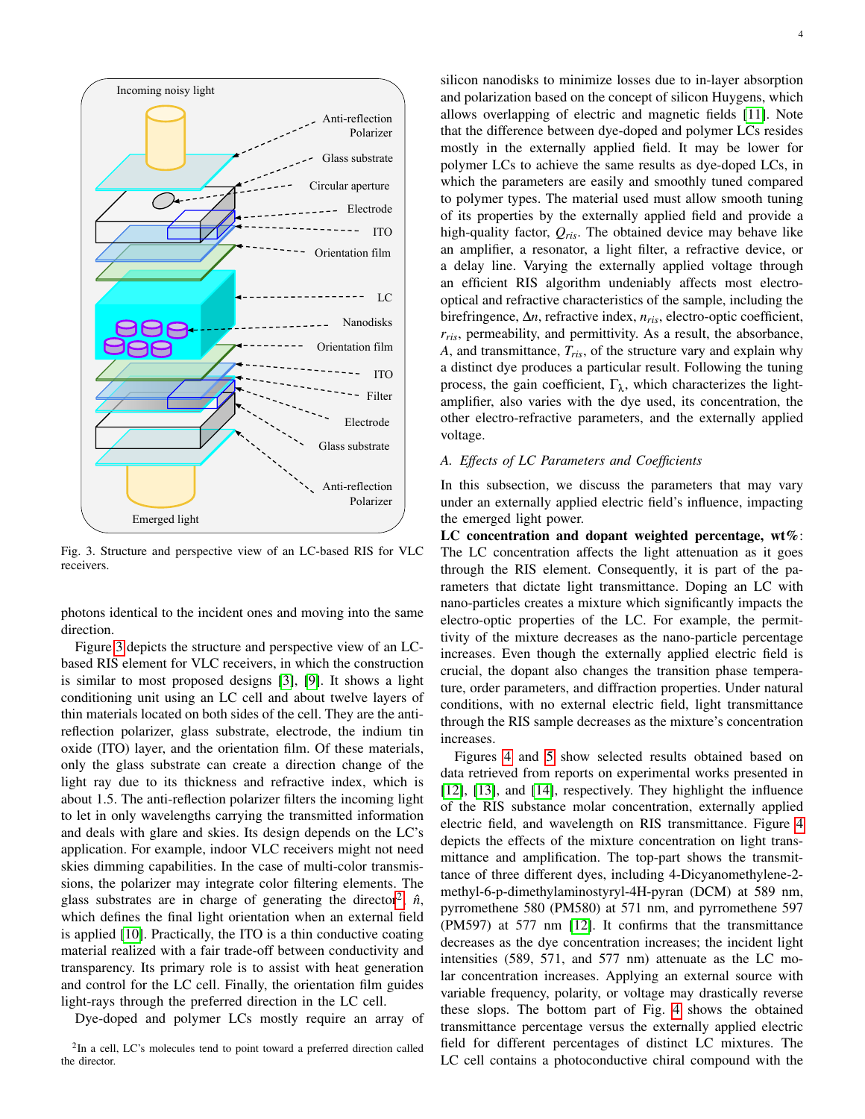<span id="page-3-0"></span>

Fig. 3. Structure and perspective view of an LC-based RIS for VLC receivers.

photons identical to the incident ones and moving into the same direction.

Figure [3](#page-3-0) depicts the structure and perspective view of an LCbased RIS element for VLC receivers, in which the construction is similar to most proposed designs [\[3\]](#page-6-2), [\[9\]](#page-6-8). It shows a light conditioning unit using an LC cell and about twelve layers of thin materials located on both sides of the cell. They are the antireflection polarizer, glass substrate, electrode, the indium tin oxide (ITO) layer, and the orientation film. Of these materials, only the glass substrate can create a direction change of the light ray due to its thickness and refractive index, which is about 1.5. The anti-reflection polarizer filters the incoming light to let in only wavelengths carrying the transmitted information and deals with glare and skies. Its design depends on the LC's application. For example, indoor VLC receivers might not need skies dimming capabilities. In the case of multi-color transmissions, the polarizer may integrate color filtering elements. The glass substrates are in charge of generating the director<sup>[2](#page-3-1)</sup>,  $\hat{n}$ , which defines the final light orientation when an external field is applied [\[10\]](#page-6-9). Practically, the ITO is a thin conductive coating material realized with a fair trade-off between conductivity and transparency. Its primary role is to assist with heat generation and control for the LC cell. Finally, the orientation film guides light-rays through the preferred direction in the LC cell.

Dye-doped and polymer LCs mostly require an array of

<span id="page-3-1"></span><sup>2</sup>In a cell, LC's molecules tend to point toward a preferred direction called the director.

silicon nanodisks to minimize losses due to in-layer absorption and polarization based on the concept of silicon Huygens, which allows overlapping of electric and magnetic fields [\[11\]](#page-6-10). Note that the difference between dye-doped and polymer LCs resides mostly in the externally applied field. It may be lower for polymer LCs to achieve the same results as dye-doped LCs, in which the parameters are easily and smoothly tuned compared to polymer types. The material used must allow smooth tuning of its properties by the externally applied field and provide a high-quality factor, *Qris*. The obtained device may behave like an amplifier, a resonator, a light filter, a refractive device, or a delay line. Varying the externally applied voltage through an efficient RIS algorithm undeniably affects most electrooptical and refractive characteristics of the sample, including the birefringence, ∆*n*, refractive index, *nris*, electro-optic coefficient, *rris*, permeability, and permittivity. As a result, the absorbance, *A*, and transmittance, *Tris*, of the structure vary and explain why a distinct dye produces a particular result. Following the tuning process, the gain coefficient,  $\Gamma_{\lambda}$ , which characterizes the lightamplifier, also varies with the dye used, its concentration, the other electro-refractive parameters, and the externally applied voltage.

#### *A. Effects of LC Parameters and Coefficients*

In this subsection, we discuss the parameters that may vary under an externally applied electric field's influence, impacting the emerged light power.

LC concentration and dopant weighted percentage, wt%: The LC concentration affects the light attenuation as it goes through the RIS element. Consequently, it is part of the parameters that dictate light transmittance. Doping an LC with nano-particles creates a mixture which significantly impacts the electro-optic properties of the LC. For example, the permittivity of the mixture decreases as the nano-particle percentage increases. Even though the externally applied electric field is crucial, the dopant also changes the transition phase temperature, order parameters, and diffraction properties. Under natural conditions, with no external electric field, light transmittance through the RIS sample decreases as the mixture's concentration increases.

Figures [4](#page-4-0) and [5](#page-4-1) show selected results obtained based on data retrieved from reports on experimental works presented in [\[12\]](#page-6-11), [\[13\]](#page-6-12), and [\[14\]](#page-6-13), respectively. They highlight the influence of the RIS substance molar concentration, externally applied electric field, and wavelength on RIS transmittance. Figure [4](#page-4-0) depicts the effects of the mixture concentration on light transmittance and amplification. The top-part shows the transmittance of three different dyes, including 4-Dicyanomethylene-2 methyl-6-p-dimethylaminostyryl-4H-pyran (DCM) at 589 nm, pyrromethene 580 (PM580) at 571 nm, and pyrromethene 597 (PM597) at 577 nm [\[12\]](#page-6-11). It confirms that the transmittance decreases as the dye concentration increases; the incident light intensities (589, 571, and 577 nm) attenuate as the LC molar concentration increases. Applying an external source with variable frequency, polarity, or voltage may drastically reverse these slops. The bottom part of Fig. [4](#page-4-0) shows the obtained transmittance percentage versus the externally applied electric field for different percentages of distinct LC mixtures. The LC cell contains a photoconductive chiral compound with the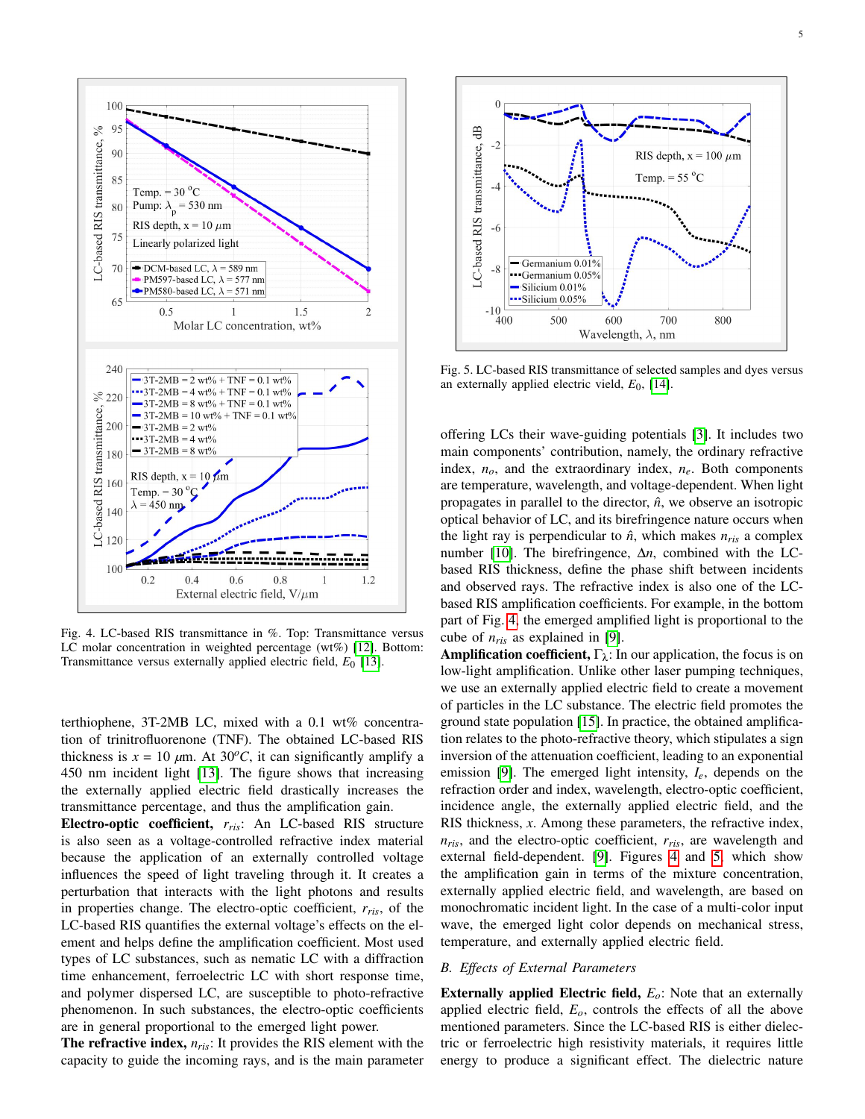<span id="page-4-0"></span>

Fig. 4. LC-based RIS transmittance in %. Top: Transmittance versus LC molar concentration in weighted percentage (wt%) [\[12\]](#page-6-11). Bottom: Transmittance versus externally applied electric field, *E*<sup>0</sup> [\[13\]](#page-6-12).

terthiophene, 3T-2MB LC, mixed with a 0.1 wt% concentration of trinitrofluorenone (TNF). The obtained LC-based RIS thickness is  $x = 10 \ \mu m$ . At 30<sup>o</sup>C, it can significantly amplify a 450 nm incident light [\[13\]](#page-6-12). The figure shows that increasing the externally applied electric field drastically increases the transmittance percentage, and thus the amplification gain.

Electro-optic coefficient, *rris*: An LC-based RIS structure is also seen as a voltage-controlled refractive index material because the application of an externally controlled voltage influences the speed of light traveling through it. It creates a perturbation that interacts with the light photons and results in properties change. The electro-optic coefficient, *rris*, of the LC-based RIS quantifies the external voltage's effects on the element and helps define the amplification coefficient. Most used types of LC substances, such as nematic LC with a diffraction time enhancement, ferroelectric LC with short response time, and polymer dispersed LC, are susceptible to photo-refractive phenomenon. In such substances, the electro-optic coefficients are in general proportional to the emerged light power.

The refractive index, *nris*: It provides the RIS element with the capacity to guide the incoming rays, and is the main parameter

<span id="page-4-1"></span>

Fig. 5. LC-based RIS transmittance of selected samples and dyes versus an externally applied electric vield, *E*0, [\[14\]](#page-6-13).

offering LCs their wave-guiding potentials [\[3\]](#page-6-2). It includes two main components' contribution, namely, the ordinary refractive index,  $n_o$ , and the extraordinary index,  $n_e$ . Both components are temperature, wavelength, and voltage-dependent. When light propagates in parallel to the director,  $\hat{n}$ , we observe an isotropic optical behavior of LC, and its birefringence nature occurs when the light ray is perpendicular to  $\hat{n}$ , which makes  $n_{ris}$  a complex number [\[10\]](#page-6-9). The birefringence, ∆*n*, combined with the LCbased RIS thickness, define the phase shift between incidents and observed rays. The refractive index is also one of the LCbased RIS amplification coefficients. For example, in the bottom part of Fig. [4,](#page-4-0) the emerged amplified light is proportional to the cube of *nris* as explained in [\[9\]](#page-6-8).

**Amplification coefficient,**  $\Gamma_{\lambda}$ : In our application, the focus is on low-light amplification. Unlike other laser pumping techniques, we use an externally applied electric field to create a movement of particles in the LC substance. The electric field promotes the ground state population [\[15\]](#page-6-14). In practice, the obtained amplification relates to the photo-refractive theory, which stipulates a sign inversion of the attenuation coefficient, leading to an exponential emission [\[9\]](#page-6-8). The emerged light intensity, *Ie*, depends on the refraction order and index, wavelength, electro-optic coefficient, incidence angle, the externally applied electric field, and the RIS thickness, *x*. Among these parameters, the refractive index, *nris*, and the electro-optic coefficient, *rris*, are wavelength and external field-dependent. [\[9\]](#page-6-8). Figures [4](#page-4-0) and [5,](#page-4-1) which show the amplification gain in terms of the mixture concentration, externally applied electric field, and wavelength, are based on monochromatic incident light. In the case of a multi-color input wave, the emerged light color depends on mechanical stress, temperature, and externally applied electric field.

## *B. Effects of External Parameters*

Externally applied Electric field, *Eo*: Note that an externally applied electric field, *Eo*, controls the effects of all the above mentioned parameters. Since the LC-based RIS is either dielectric or ferroelectric high resistivity materials, it requires little energy to produce a significant effect. The dielectric nature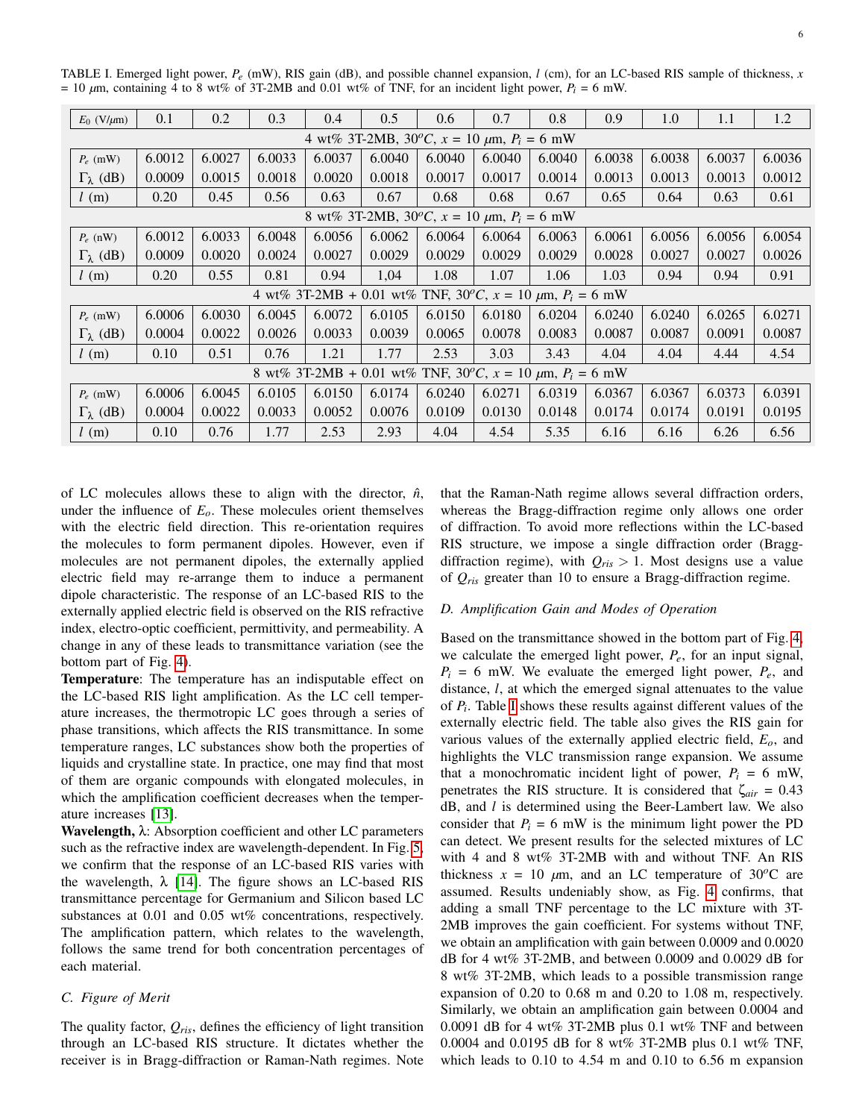| $E_0$ (V/ $\mu$ m)                                                            | 0.1    | 0.2    | 0.3    | 0.4    | 0.5    | 0.6    | 0.7    | 0.8    | 0.9    | 1.0    | 1.1    | 1.2    |
|-------------------------------------------------------------------------------|--------|--------|--------|--------|--------|--------|--------|--------|--------|--------|--------|--------|
| 4 wt% 3T-2MB, $30^{\circ}C$ , $x = 10 \mu m$ , $P_i = 6 \mu W$                |        |        |        |        |        |        |        |        |        |        |        |        |
| $P_e$ (mW)                                                                    | 6.0012 | 6.0027 | 6.0033 | 6.0037 | 6.0040 | 6.0040 | 6.0040 | 6.0040 | 6.0038 | 6.0038 | 6.0037 | 6.0036 |
| $\Gamma_{\lambda}$ (dB)                                                       | 0.0009 | 0.0015 | 0.0018 | 0.0020 | 0.0018 | 0.0017 | 0.0017 | 0.0014 | 0.0013 | 0.0013 | 0.0013 | 0.0012 |
| l(m)                                                                          | 0.20   | 0.45   | 0.56   | 0.63   | 0.67   | 0.68   | 0.68   | 0.67   | 0.65   | 0.64   | 0.63   | 0.61   |
| 8 wt% 3T-2MB, $30^{\circ}C$ , $x = 10 \mu m$ , $P_i = 6 \mu W$                |        |        |        |        |        |        |        |        |        |        |        |        |
| $P_e$ (nW)                                                                    | 6.0012 | 6.0033 | 6.0048 | 6.0056 | 6.0062 | 6.0064 | 6.0064 | 6.0063 | 6.0061 | 6.0056 | 6.0056 | 6.0054 |
| $\Gamma_{\lambda}$ (dB)                                                       | 0.0009 | 0.0020 | 0.0024 | 0.0027 | 0.0029 | 0.0029 | 0.0029 | 0.0029 | 0.0028 | 0.0027 | 0.0027 | 0.0026 |
| l(m)                                                                          | 0.20   | 0.55   | 0.81   | 0.94   | 1,04   | 1.08   | 1.07   | 1.06   | 1.03   | 0.94   | 0.94   | 0.91   |
| 4 wt% 3T-2MB + 0.01 wt% TNF, $30^{\circ}C$ , $x = 10 \mu m$ , $P_i = 6 \mu W$ |        |        |        |        |        |        |        |        |        |        |        |        |
| $P_e$ (mW)                                                                    | 6.0006 | 6.0030 | 6.0045 | 6.0072 | 6.0105 | 6.0150 | 6.0180 | 6.0204 | 6.0240 | 6.0240 | 6.0265 | 6.0271 |
| $\Gamma_{\lambda}$ (dB)                                                       | 0.0004 | 0.0022 | 0.0026 | 0.0033 | 0.0039 | 0.0065 | 0.0078 | 0.0083 | 0.0087 | 0.0087 | 0.0091 | 0.0087 |
| l(m)                                                                          | 0.10   | 0.51   | 0.76   | 1.21   | 1.77   | 2.53   | 3.03   | 3.43   | 4.04   | 4.04   | 4.44   | 4.54   |
| 8 wt% 3T-2MB + 0.01 wt% TNF, 30°C, $x = 10 \mu m$ , $P_i = 6 \mu W$           |        |        |        |        |        |        |        |        |        |        |        |        |
| $P_e$ (mW)                                                                    | 6.0006 | 6.0045 | 6.0105 | 6.0150 | 6.0174 | 6.0240 | 6.0271 | 6.0319 | 6.0367 | 6.0367 | 6.0373 | 6.0391 |
| $\Gamma_{\lambda}$ (dB)                                                       | 0.0004 | 0.0022 | 0.0033 | 0.0052 | 0.0076 | 0.0109 | 0.0130 | 0.0148 | 0.0174 | 0.0174 | 0.0191 | 0.0195 |
| l(m)                                                                          | 0.10   | 0.76   | 1.77   | 2.53   | 2.93   | 4.04   | 4.54   | 5.35   | 6.16   | 6.16   | 6.26   | 6.56   |

<span id="page-5-0"></span>TABLE I. Emerged light power, *Pe* (mW), RIS gain (dB), and possible channel expansion, *l* (cm), for an LC-based RIS sample of thickness, *x*  $= 10 \mu m$ , containing 4 to 8 wt% of 3T-2MB and 0.01 wt% of TNF, for an incident light power,  $P_i = 6 \text{ mW}$ .

of LC molecules allows these to align with the director,  $\hat{n}$ , under the influence of  $E<sub>o</sub>$ . These molecules orient themselves with the electric field direction. This re-orientation requires the molecules to form permanent dipoles. However, even if molecules are not permanent dipoles, the externally applied electric field may re-arrange them to induce a permanent dipole characteristic. The response of an LC-based RIS to the externally applied electric field is observed on the RIS refractive index, electro-optic coefficient, permittivity, and permeability. A change in any of these leads to transmittance variation (see the bottom part of Fig. [4\)](#page-4-0).

Temperature: The temperature has an indisputable effect on the LC-based RIS light amplification. As the LC cell temperature increases, the thermotropic LC goes through a series of phase transitions, which affects the RIS transmittance. In some temperature ranges, LC substances show both the properties of liquids and crystalline state. In practice, one may find that most of them are organic compounds with elongated molecules, in which the amplification coefficient decreases when the temperature increases [\[13\]](#page-6-12).

Wavelength,  $\lambda$ : Absorption coefficient and other LC parameters such as the refractive index are wavelength-dependent. In Fig. [5,](#page-4-1) we confirm that the response of an LC-based RIS varies with the wavelength,  $\lambda$  [\[14\]](#page-6-13). The figure shows an LC-based RIS transmittance percentage for Germanium and Silicon based LC substances at 0.01 and 0.05 wt% concentrations, respectively. The amplification pattern, which relates to the wavelength, follows the same trend for both concentration percentages of each material.

## *C. Figure of Merit*

The quality factor,  $Q_{ris}$ , defines the efficiency of light transition through an LC-based RIS structure. It dictates whether the receiver is in Bragg-diffraction or Raman-Nath regimes. Note that the Raman-Nath regime allows several diffraction orders, whereas the Bragg-diffraction regime only allows one order of diffraction. To avoid more reflections within the LC-based RIS structure, we impose a single diffraction order (Braggdiffraction regime), with  $Q_{ris} > 1$ . Most designs use a value of *Qris* greater than 10 to ensure a Bragg-diffraction regime.

#### *D. Amplification Gain and Modes of Operation*

Based on the transmittance showed in the bottom part of Fig. [4,](#page-4-0) we calculate the emerged light power, *Pe*, for an input signal,  $P_i = 6$  mW. We evaluate the emerged light power,  $P_e$ , and distance, *l*, at which the emerged signal attenuates to the value of  $P_i$ . Table [I](#page-5-0) shows these results against different values of the externally electric field. The table also gives the RIS gain for various values of the externally applied electric field, *Eo*, and highlights the VLC transmission range expansion. We assume that a monochromatic incident light of power,  $P_i = 6$  mW, penetrates the RIS structure. It is considered that  $\zeta_{air} = 0.43$ dB, and *l* is determined using the Beer-Lambert law. We also consider that  $P_i = 6$  mW is the minimum light power the PD can detect. We present results for the selected mixtures of LC with 4 and 8 wt% 3T-2MB with and without TNF. An RIS thickness  $x = 10 \mu m$ , and an LC temperature of 30<sup>o</sup>C are assumed. Results undeniably show, as Fig. [4](#page-4-0) confirms, that adding a small TNF percentage to the LC mixture with 3T-2MB improves the gain coefficient. For systems without TNF, we obtain an amplification with gain between 0.0009 and 0.0020 dB for 4 wt% 3T-2MB, and between 0.0009 and 0.0029 dB for 8 wt% 3T-2MB, which leads to a possible transmission range expansion of 0.20 to 0.68 m and 0.20 to 1.08 m, respectively. Similarly, we obtain an amplification gain between 0.0004 and 0.0091 dB for 4 wt% 3T-2MB plus 0.1 wt% TNF and between 0.0004 and 0.0195 dB for 8 wt% 3T-2MB plus 0.1 wt% TNF, which leads to 0.10 to 4.54 m and 0.10 to 6.56 m expansion